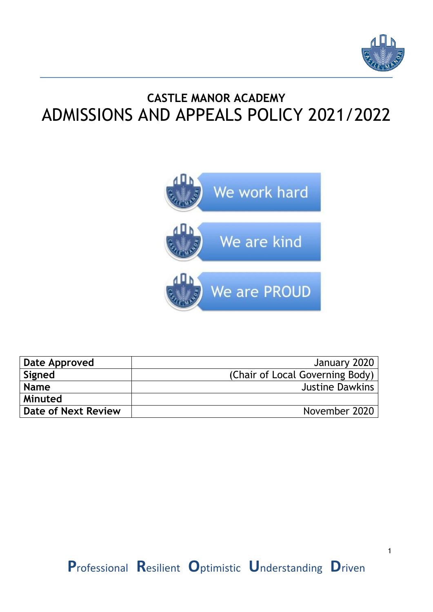

# **CASTLE MANOR ACADEMY** ADMISSIONS AND APPEALS POLICY 2021/2022



| Date Approved       | January 2020                    |
|---------------------|---------------------------------|
| Signed              | (Chair of Local Governing Body) |
| <b>Name</b>         | <b>Justine Dawkins</b>          |
| Minuted             |                                 |
| Date of Next Review | November 2020                   |

1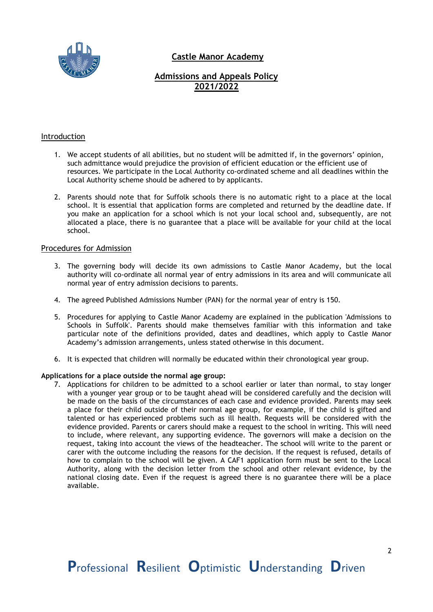

## **Castle Manor Academy**

### **Admissions and Appeals Policy 2021/2022**

#### Introduction

- 1. We accept students of all abilities, but no student will be admitted if, in the governors' opinion, such admittance would prejudice the provision of efficient education or the efficient use of resources. We participate in the Local Authority co-ordinated scheme and all deadlines within the Local Authority scheme should be adhered to by applicants.
- 2. Parents should note that for Suffolk schools there is no automatic right to a place at the local school. It is essential that application forms are completed and returned by the deadline date. If you make an application for a school which is not your local school and, subsequently, are not allocated a place, there is no guarantee that a place will be available for your child at the local school.

#### Procedures for Admission

- 3. The governing body will decide its own admissions to Castle Manor Academy, but the local authority will co-ordinate all normal year of entry admissions in its area and will communicate all normal year of entry admission decisions to parents.
- 4. The agreed Published Admissions Number (PAN) for the normal year of entry is 150.
- 5. Procedures for applying to Castle Manor Academy are explained in the publication 'Admissions to Schools in Suffolk'. Parents should make themselves familiar with this information and take particular note of the definitions provided, dates and deadlines, which apply to Castle Manor Academy's admission arrangements, unless stated otherwise in this document.
- 6. It is expected that children will normally be educated within their chronological year group.

#### **Applications for a place outside the normal age group:**

7. Applications for children to be admitted to a school earlier or later than normal, to stay longer with a younger year group or to be taught ahead will be considered carefully and the decision will be made on the basis of the circumstances of each case and evidence provided. Parents may seek a place for their child outside of their normal age group, for example, if the child is gifted and talented or has experienced problems such as ill health. Requests will be considered with the evidence provided. Parents or carers should make a request to the school in writing. This will need to include, where relevant, any supporting evidence. The governors will make a decision on the request, taking into account the views of the headteacher. The school will write to the parent or carer with the outcome including the reasons for the decision. If the request is refused, details of how to complain to the school will be given. A CAF1 application form must be sent to the Local Authority, along with the decision letter from the school and other relevant evidence, by the national closing date. Even if the request is agreed there is no guarantee there will be a place available.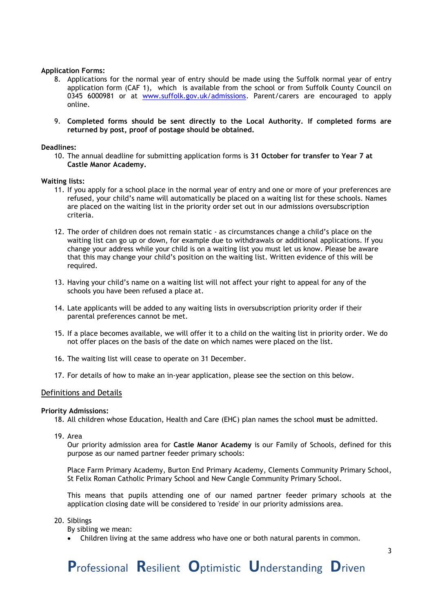#### **Application Forms:**

- 8. Applications for the normal year of entry should be made using the Suffolk normal year of entry application form (CAF 1), which is available from the school or from Suffolk County Council on 0345 6000981 or at [www.suffolk.gov.uk/admissions.](http://www.suffolk.gov.uk/admissions) Parent/carers are encouraged to apply online.
- 9. **Completed forms should be sent directly to the Local Authority. If completed forms are returned by post, proof of postage should be obtained.**

#### **Deadlines:**

10. The annual deadline for submitting application forms is **31 October for transfer to Year 7 at Castle Manor Academy.**

#### **Waiting lists:**

- 11. If you apply for a school place in the normal year of entry and one or more of your preferences are refused, your child's name will automatically be placed on a waiting list for these schools. Names are placed on the waiting list in the priority order set out in our admissions oversubscription criteria.
- 12. The order of children does not remain static as circumstances change a child's place on the waiting list can go up or down, for example due to withdrawals or additional applications. If you change your address while your child is on a waiting list you must let us know. Please be aware that this may change your child's position on the waiting list. Written evidence of this will be required.
- 13. Having your child's name on a waiting list will not affect your right to appeal for any of the schools you have been refused a place at.
- 14. Late applicants will be added to any waiting lists in oversubscription priority order if their parental preferences cannot be met.
- 15. If a place becomes available, we will offer it to a child on the waiting list in priority order. We do not offer places on the basis of the date on which names were placed on the list.
- 16. The waiting list will cease to operate on 31 December.
- 17. For details of how to make an in-year application, please see the section on this below.

#### Definitions and Details

#### **Priority Admissions:**

18. All children whose Education, Health and Care (EHC) plan names the school **must** be admitted.

19. Area

Our priority admission area for **Castle Manor Academy** is our Family of Schools, defined for this purpose as our named partner feeder primary schools:

Place Farm Primary Academy, Burton End Primary Academy, Clements Community Primary School, St Felix Roman Catholic Primary School and New Cangle Community Primary School.

This means that pupils attending one of our named partner feeder primary schools at the application closing date will be considered to 'reside' in our priority admissions area.

20. Siblings

By sibling we mean:

• Children living at the same address who have one or both natural parents in common.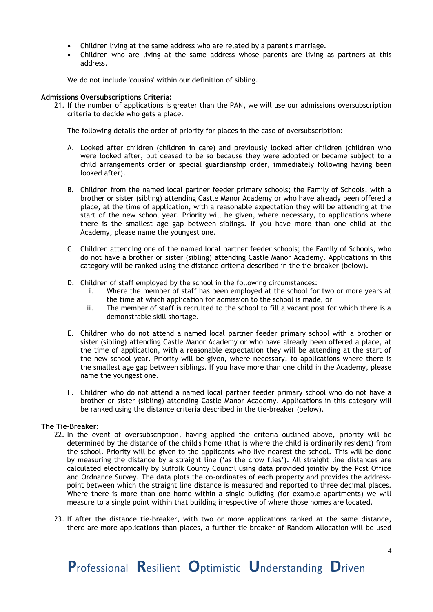- Children living at the same address who are related by a parent's marriage.
- Children who are living at the same address whose parents are living as partners at this address.

We do not include 'cousins' within our definition of sibling.

#### **Admissions Oversubscriptions Criteria:**

21. If the number of applications is greater than the PAN, we will use our admissions oversubscription criteria to decide who gets a place.

The following details the order of priority for places in the case of oversubscription:

- A. Looked after children (children in care) and previously looked after children (children who were looked after, but ceased to be so because they were adopted or became subject to a child arrangements order or special guardianship order, immediately following having been looked after).
- B. Children from the named local partner feeder primary schools; the Family of Schools, with a brother or sister (sibling) attending Castle Manor Academy or who have already been offered a place, at the time of application, with a reasonable expectation they will be attending at the start of the new school year. Priority will be given, where necessary, to applications where there is the smallest age gap between siblings. If you have more than one child at the Academy, please name the youngest one.
- C. Children attending one of the named local partner feeder schools; the Family of Schools, who do not have a brother or sister (sibling) attending Castle Manor Academy. Applications in this category will be ranked using the distance criteria described in the tie-breaker (below).
- D. Children of staff employed by the school in the following circumstances:
	- i. Where the member of staff has been employed at the school for two or more years at the time at which application for admission to the school is made, or
	- ii. The member of staff is recruited to the school to fill a vacant post for which there is a demonstrable skill shortage.
- E. Children who do not attend a named local partner feeder primary school with a brother or sister (sibling) attending Castle Manor Academy or who have already been offered a place, at the time of application, with a reasonable expectation they will be attending at the start of the new school year. Priority will be given, where necessary, to applications where there is the smallest age gap between siblings. If you have more than one child in the Academy, please name the youngest one.
- F. Children who do not attend a named local partner feeder primary school who do not have a brother or sister (sibling) attending Castle Manor Academy. Applications in this category will be ranked using the distance criteria described in the tie-breaker (below).

#### **The Tie-Breaker:**

- 22. In the event of oversubscription, having applied the criteria outlined above, priority will be determined by the distance of the child's home (that is where the child is ordinarily resident) from the school. Priority will be given to the applicants who live nearest the school. This will be done by measuring the distance by a straight line ('as the crow flies'). All straight line distances are calculated electronically by Suffolk County Council using data provided jointly by the Post Office and Ordnance Survey. The data plots the co-ordinates of each property and provides the addresspoint between which the straight line distance is measured and reported to three decimal places. Where there is more than one home within a single building (for example apartments) we will measure to a single point within that building irrespective of where those homes are located.
- 23. If after the distance tie-breaker, with two or more applications ranked at the same distance, there are more applications than places, a further tie-breaker of Random Allocation will be used

## **P**rofessional **R**esilient **O**ptimistic **U**nderstanding **D**riven